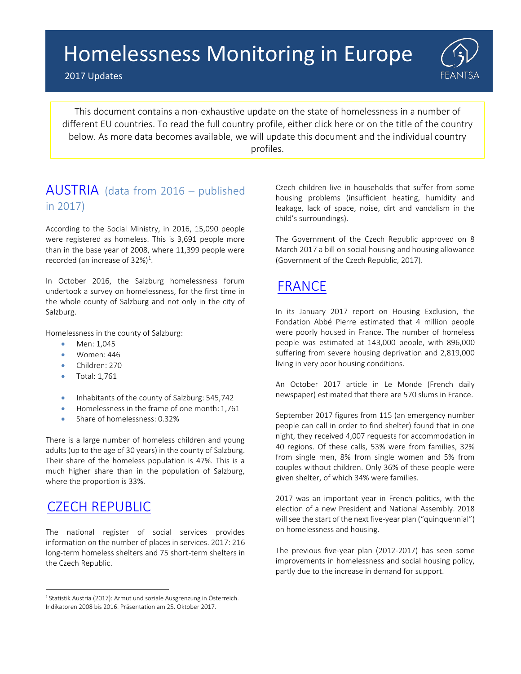#### $A_n = \sum_{i=1}^n \frac{1}{n_i}$ Homelessness Monitoring in Europe

2017 Updates



This document contains a non-exhaustive update on the state of homelessness in a number of different EU countries. To read the full country profile, either click here or on the title of the country below. As more data becomes available, we will update this document and the individual country profiles.

#### [AUSTRIA](http://www.feantsa.org/en/country-profile/2016/10/17/austria?bcParent=27) (data from 2016 – published in 2017)

According to the Social Ministry, in 2016, 15,090 people were registered as homeless. This is 3,691 people more than in the base year of 2008, where 11,399 people were recorded (an increase of 32%)<sup>1</sup>.

In October 2016, the Salzburg homelessness forum undertook a survey on homelessness, for the first time in the whole county of Salzburg and not only in the city of Salzburg.

Homelessness in the county of Salzburg:

- Men: 1.045
- Women: 446
- Children: 270
- Total: 1,761
- Inhabitants of the county of Salzburg: 545,742
- Homelessness in the frame of one month: 1,761
- Share of homelessness: 0.32%

There is a large number of homeless children and young adults (up to the age of 30 years) in the county of Salzburg. Their share of the homeless population is 47%. This is a much higher share than in the population of Salzburg, where the proportion is 33%.

# [CZECH REPUBLIC](http://www.feantsa.org/en/country-profile/2016/10/17/czech-republic?bcParent=27)

The national register of social services provides information on the number of places in services. 2017: 216 long-term homeless shelters and 75 short-term shelters in the Czech Republic.

Czech children live in households that suffer from some housing problems (insufficient heating, humidity and leakage, lack of space, noise, dirt and vandalism in the child's surroundings).

The Government of the Czech Republic approved on 8 March 2017 a bill on social housing and housing allowance (Government of the Czech Republic, 2017).

# [FRANCE](http://www.feantsa.org/en/country-profile/2016/10/18/country-profile-france?bcParent=27)

In its January 2017 report on Housing Exclusion, the Fondation Abbé Pierre estimated that 4 million people were poorly housed in France. The number of homeless people was estimated at 143,000 people, with 896,000 suffering from severe housing deprivation and 2,819,000 living in very poor housing conditions.

An October 2017 article in Le Monde (French daily newspaper) estimated that there are 570 slums in France.

September 2017 figures from 115 (an emergency number people can call in order to find shelter) found that in one night, they received 4,007 requests for accommodation in 40 regions. Of these calls, 53% were from families, 32% from single men, 8% from single women and 5% from couples without children. Only 36% of these people were given shelter, of which 34% were families.

2017 was an important year in French politics, with the election of a new President and National Assembly. 2018 will see the start of the next five-year plan ("quinquennial") on homelessness and housing.

The previous five-year plan (2012-2017) has seen some improvements in homelessness and social housing policy, partly due to the increase in demand for support.

<sup>&</sup>lt;sup>1</sup> Statistik Austria (2017): Armut und soziale Ausgrenzung in Österreich. Indikatoren 2008 bis 2016. Präsentation am 25. Oktober 2017.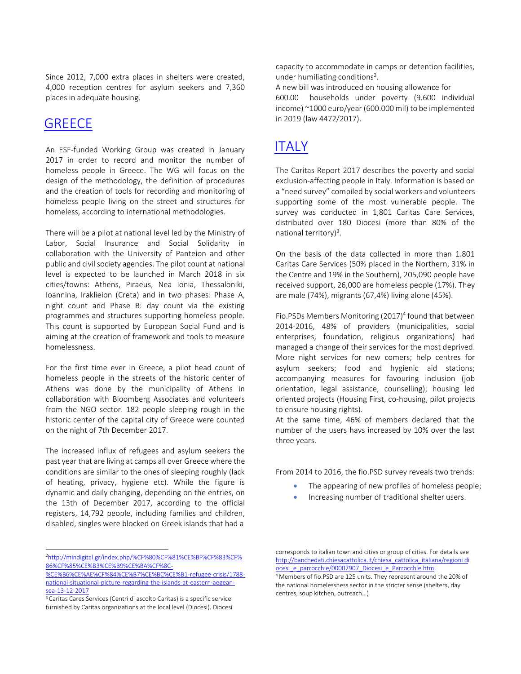Since 2012, 7,000 extra places in shelters were created, 4,000 reception centres for asylum seekers and 7,360 places in adequate housing.

#### **[GREECE](http://www.feantsa.org/en/country-profile/2016/10/18/country-profile-greece?bcParent=27)**

An ESF-funded Working Group was created in January 2017 in order to record and monitor the number of homeless people in Greece. The WG will focus on the design of the methodology, the definition of procedures and the creation of tools for recording and monitoring of homeless people living on the street and structures for homeless, according to international methodologies.

There will be a pilot at national level led by the Ministry of Labor, Social Insurance and Social Solidarity in collaboration with the University of Panteion and other public and civil society agencies. The pilot count at national level is expected to be launched in March 2018 in six cities/towns: Athens, Piraeus, Nea Ionia, Thessaloniki, Ioannina, Iraklieion (Creta) and in two phases: Phase A, night count and Phase B: day count via the existing programmes and structures supporting homeless people. This count is supported by European Social Fund and is aiming at the creation of framework and tools to measure homelessness.

For the first time ever in Greece, a pilot head count of homeless people in the streets of the historic center of Athens was done by the municipality of Athens in collaboration with Bloomberg Associates and volunteers from the NGO sector. 182 people sleeping rough in the historic center of the capital city of Greece were counted on the night of 7th December 2017.

The increased influx of refugees and asylum seekers the past year that are living at camps all over Greece where the conditions are similar to the ones of sleeping roughly (lack of heating, privacy, hygiene etc). While the figure is dynamic and daily changing, depending on the entries, on the 13th of December 2017, according to the official registers, 14,792 people, including families and children, disabled, singles were blocked on Greek islands that had a

<sup>2</sup>[http://mindigital.gr/index.php/%CF%80%CF%81%CE%BF%CF%83%CF%](http://mindigital.gr/index.php/%CF%80%CF%81%CE%BF%CF%83%CF%86%CF%85%CE%B3%CE%B9%CE%BA%CF%8C-%CE%B6%CE%AE%CF%84%CE%B7%CE%BC%CE%B1-refugee-crisis/1788-national-situational-picture-regarding-the-islands-at-eastern-aegean-sea-13-12-2017) [86%CF%85%CE%B3%CE%B9%CE%BA%CF%8C-](http://mindigital.gr/index.php/%CF%80%CF%81%CE%BF%CF%83%CF%86%CF%85%CE%B3%CE%B9%CE%BA%CF%8C-%CE%B6%CE%AE%CF%84%CE%B7%CE%BC%CE%B1-refugee-crisis/1788-national-situational-picture-regarding-the-islands-at-eastern-aegean-sea-13-12-2017)

<sup>3</sup> Caritas Cares Services (Centri di ascolto Caritas) is a specific service furnished by Caritas organizations at the local level (Diocesi). Diocesi capacity to accommodate in camps or detention facilities, under humiliating conditions<sup>2</sup>.

A new bill was introduced on housing allowance for 600.00 households under poverty (9.600 individual income) ~1000 euro/year (600.000 mil) to be implemented in 2019 (law 4472/2017).

## [ITALY](http://www.feantsa.org/en/country-profile/2016/10/18/country-profile-italy?bcParent=27)

The Caritas Report 2017 describes the poverty and social exclusion-affecting people in Italy. Information is based on a "need survey" compiled by social workers and volunteers supporting some of the most vulnerable people. The survey was conducted in 1,801 Caritas Care Services, distributed over 180 Diocesi (more than 80% of the national territory)<sup>3</sup>.

On the basis of the data collected in more than 1.801 Caritas Care Services (50% placed in the Northern, 31% in the Centre and 19% in the Southern), 205,090 people have received support, 26,000 are homeless people (17%). They are male (74%), migrants (67,4%) living alone (45%).

Fio.PSDs Members Monitoring (2017)<sup>4</sup> found that between 2014-2016, 48% of providers (municipalities, social enterprises, foundation, religious organizations) had managed a change of their services for the most deprived. More night services for new comers; help centres for asylum seekers; food and hygienic aid stations; accompanying measures for favouring inclusion (job orientation, legal assistance, counselling); housing led oriented projects (Housing First, co-housing, pilot projects to ensure housing rights).

At the same time, 46% of members declared that the number of the users havs increased by 10% over the last three years.

From 2014 to 2016, the fio.PSD survey reveals two trends:

- The appearing of new profiles of homeless people;
- Increasing number of traditional shelter users.

corresponds to italian town and cities or group of cities. For details see [http://banchedati.chiesacattolica.it/chiesa\\_cattolica\\_italiana/regioni di](http://banchedati.chiesacattolica.it/chiesa_cattolica_italiana/regioni__diocesi_e_parrocchie/00007907_Diocesi_e_Parrocchie.html) [ocesi\\_e\\_parrocchie/00007907\\_Diocesi\\_e\\_Parrocchie.html](http://banchedati.chiesacattolica.it/chiesa_cattolica_italiana/regioni__diocesi_e_parrocchie/00007907_Diocesi_e_Parrocchie.html)

[<sup>%</sup>CE%B6%CE%AE%CF%84%CE%B7%CE%BC%CE%B1-refugee-crisis/1788](http://mindigital.gr/index.php/%CF%80%CF%81%CE%BF%CF%83%CF%86%CF%85%CE%B3%CE%B9%CE%BA%CF%8C-%CE%B6%CE%AE%CF%84%CE%B7%CE%BC%CE%B1-refugee-crisis/1788-national-situational-picture-regarding-the-islands-at-eastern-aegean-sea-13-12-2017) [national-situational-picture-regarding-the-islands-at-eastern-aegean](http://mindigital.gr/index.php/%CF%80%CF%81%CE%BF%CF%83%CF%86%CF%85%CE%B3%CE%B9%CE%BA%CF%8C-%CE%B6%CE%AE%CF%84%CE%B7%CE%BC%CE%B1-refugee-crisis/1788-national-situational-picture-regarding-the-islands-at-eastern-aegean-sea-13-12-2017)[sea-13-12-2017](http://mindigital.gr/index.php/%CF%80%CF%81%CE%BF%CF%83%CF%86%CF%85%CE%B3%CE%B9%CE%BA%CF%8C-%CE%B6%CE%AE%CF%84%CE%B7%CE%BC%CE%B1-refugee-crisis/1788-national-situational-picture-regarding-the-islands-at-eastern-aegean-sea-13-12-2017)

<sup>4</sup>Members of fio.PSD are 125 units. They represent around the 20% of the national homelessness sector in the stricter sense (shelters, day centres, soup kitchen, outreach…)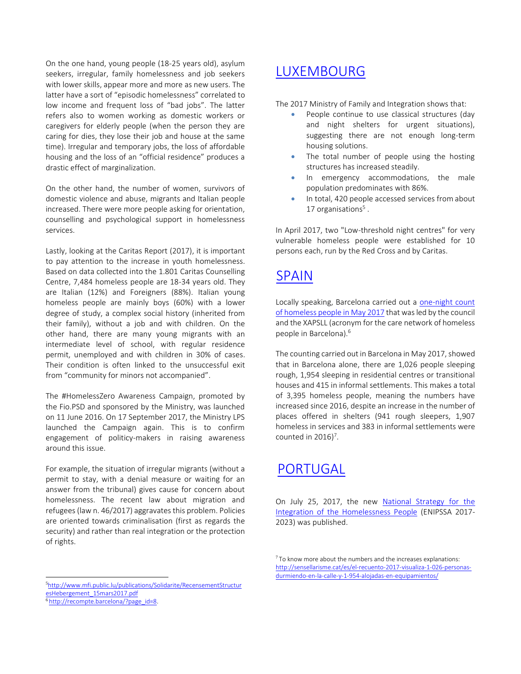On the one hand, young people (18-25 years old), asylum seekers, irregular, family homelessness and job seekers with lower skills, appear more and more as new users. The latter have a sort of "episodic homelessness" correlated to low income and frequent loss of "bad jobs". The latter refers also to women working as domestic workers or caregivers for elderly people (when the person they are caring for dies, they lose their job and house at the same time). Irregular and temporary jobs, the loss of affordable housing and the loss of an "official residence" produces a drastic effect of marginalization.

On the other hand, the number of women, survivors of domestic violence and abuse, migrants and Italian people increased. There were more people asking for orientation, counselling and psychological support in homelessness services.

Lastly, looking at the Caritas Report (2017), it is important to pay attention to the increase in youth homelessness. Based on data collected into the 1.801 Caritas Counselling Centre, 7,484 homeless people are 18-34 years old. They are Italian (12%) and Foreigners (88%). Italian young homeless people are mainly boys (60%) with a lower degree of study, a complex social history (inherited from their family), without a job and with children. On the other hand, there are many young migrants with an intermediate level of school, with regular residence permit, unemployed and with children in 30% of cases. Their condition is often linked to the unsuccessful exit from "community for minors not accompanied".

The #HomelessZero Awareness Campaign, promoted by the Fio.PSD and sponsored by the Ministry, was launched on 11 June 2016. On 17 September 2017, the Ministry LPS launched the Campaign again. This is to confirm engagement of politicy-makers in raising awareness around this issue.

For example, the situation of irregular migrants (without a permit to stay, with a denial measure or waiting for an answer from the tribunal) gives cause for concern about homelessness. The recent law about migration and refugees (law n. 46/2017) aggravates this problem. Policies are oriented towards criminalisation (first as regards the security) and rather than real integration or the protection of rights.

### [LUXEMBOURG](http://www.feantsa.org/en/country-profile/2016/10/18/country-profile-luxembourg?bcParent=27)

The 2017 Ministry of Family and Integration shows that:

- People continue to use classical structures (day and night shelters for urgent situations), suggesting there are not enough long-term housing solutions.
- The total number of people using the hosting structures has increased steadily.
- In emergency accommodations, the male population predominates with 86%.
- In total, 420 people accessed services from about 17 organisations<sup>5</sup>.

In April 2017, two "Low-threshold night centres" for very vulnerable homeless people were established for 10 persons each, run by the Red Cross and by Caritas.

### [SPAIN](http://www.feantsa.org/en/country-profile/2016/10/19/country-profile-spain?bcParent=27)

Locally speaking, Barcelona carried out a [one-night count](http://sensellarisme.cat/es/el-recuento-2017-visualiza-1-026-personas-durmiendo-en-la-calle-y-1-954-alojadas-en-equipamientos/) of [homeless](http://sensellarisme.cat/es/el-recuento-2017-visualiza-1-026-personas-durmiendo-en-la-calle-y-1-954-alojadas-en-equipamientos/) people in May 2017 that was led by the council and the XAPSLL (acronym for the care network of homeless people in Barcelona).<sup>6</sup>

The counting carried out in Barcelona in May 2017, showed that in Barcelona alone, there are 1,026 people sleeping rough, 1,954 sleeping in residential centres or transitional houses and 415 in informal settlements. This makes a total of 3,395 homeless people, meaning the numbers have increased since 2016, despite an increase in the number of places offered in shelters (941 rough sleepers, 1,907 homeless in services and 383 in informal settlements were counted in 2016)<sup>7</sup>.

# [PORTUGAL](http://www.feantsa.org/en/country-profile/2016/10/19/country-profile-portugal?bcParent=27)

On July 25, 2017, the new [National Strategy for the](https://dre.pt/application/conteudo/107745746) [Integration of the Homelessness People](https://dre.pt/application/conteudo/107745746) (ENIPSSA 2017- 2023) was published.

 $7$  To know more about the numbers and the increases explanations: [http://sensellarisme.cat/es/el-recuento-2017-visualiza-1-026-personas](http://sensellarisme.cat/es/el-recuento-2017-visualiza-1-026-personas-durmiendo-en-la-calle-y-1-954-alojadas-en-equipamientos/)[durmiendo-en-la-calle-y-1-954-alojadas-en-equipamientos/](http://sensellarisme.cat/es/el-recuento-2017-visualiza-1-026-personas-durmiendo-en-la-calle-y-1-954-alojadas-en-equipamientos/)

<sup>5</sup>[http://www.mfi.public.lu/publications/Solidarite/RecensementStructur](http://www.mfi.public.lu/publications/Solidarite/RecensementStructuresHebergement_15mars2017.pdf) [esHebergement\\_15mars2017.pdf](http://www.mfi.public.lu/publications/Solidarite/RecensementStructuresHebergement_15mars2017.pdf)

<sup>&</sup>lt;sup>6</sup>[http://recompte.barcelona/?page\\_id=8.](http://recompte.barcelona/?page_id=8)